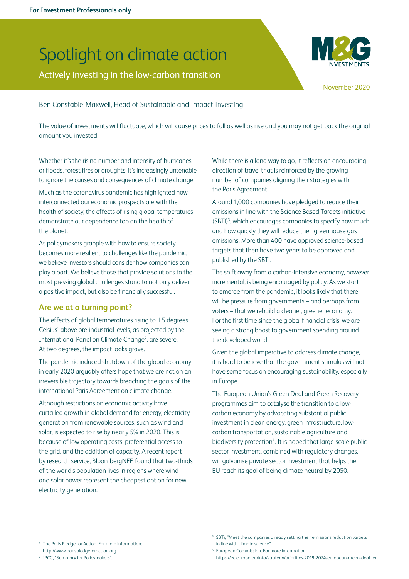# Spotlight on climate action

Actively investing in the low-carbon transition



November 2020

Ben Constable-Maxwell, Head of Sustainable and Impact Investing

The value of investments will fluctuate, which will cause prices to fall as well as rise and you may not get back the original amount you invested

Whether it's the rising number and intensity of hurricanes or floods, forest fires or droughts, it's increasingly untenable to ignore the causes and consequences of climate change.

Much as the coronavirus pandemic has highlighted how interconnected our economic prospects are with the health of society, the effects of rising global temperatures demonstrate our dependence too on the health of the planet.

As policymakers grapple with how to ensure society becomes more resilient to challenges like the pandemic, we believe investors should consider how companies can play a part. We believe those that provide solutions to the most pressing global challenges stand to not only deliver a positive impact, but also be financially successful.

## **Are we at a turning point?**

The effects of global temperatures rising to 1.5 degrees Celsius<sup>1</sup> above pre-industrial levels, as projected by the International Panel on Climate Change<sup>2</sup>, are severe. At two degrees, the impact looks grave.

The pandemic-induced shutdown of the global economy in early 2020 arguably offers hope that we are not on an irreversible trajectory towards breaching the goals of the international Paris Agreement on climate change.

Although restrictions on economic activity have curtailed growth in global demand for energy, electricity generation from renewable sources, such as wind and solar, is expected to rise by nearly 5% in 2020. This is because of low operating costs, preferential access to the grid, and the addition of capacity. A recent report by research service, BloombergNEF, found that two-thirds of the world's population lives in regions where wind and solar power represent the cheapest option for new electricity generation.

While there is a long way to go, it reflects an encouraging direction of travel that is reinforced by the growing number of companies aligning their strategies with the Paris Agreement.

Around 1,000 companies have pledged to reduce their emissions in line with the Science Based Targets initiative (SBTi)3 , which encourages companies to specify how much and how quickly they will reduce their greenhouse gas emissions. More than 400 have approved science-based targets that then have two years to be approved and published by the SBTi.

The shift away from a carbon-intensive economy, however incremental, is being encouraged by policy. As we start to emerge from the pandemic, it looks likely that there will be pressure from governments – and perhaps from voters – that we rebuild a cleaner, greener economy. For the first time since the global financial crisis, we are seeing a strong boost to government spending around the developed world.

Given the global imperative to address climate change, it is hard to believe that the government stimulus will not have some focus on encouraging sustainability, especially in Europe.

The European Union's Green Deal and Green Recovery programmes aim to catalyse the transition to a lowcarbon economy by advocating substantial public investment in clean energy, green infrastructure, lowcarbon transportation, sustainable agriculture and biodiversity protection<sup>4</sup>. It is hoped that large-scale public sector investment, combined with regulatory changes, will galvanise private sector investment that helps the EU reach its goal of being climate neutral by 2050.

2 IPCC, "[Summary for Policymakers"](https://www.ipcc.ch/sr15/chapter/spm/).

https://ec.europa.eu/info/strategy/priorities-2019-2024/european-green-deal\_en

<sup>1</sup> The Paris Pledge for Action. For more information: http://www.parispledgeforaction.org

<sup>&</sup>lt;sup>3</sup> SBTi, "Meet the companies already setting their emissions reduction targets [in line with climate science"](https://sciencebasedtargets.org/companies-taking-action/).

<sup>4</sup> European Commission. For more information: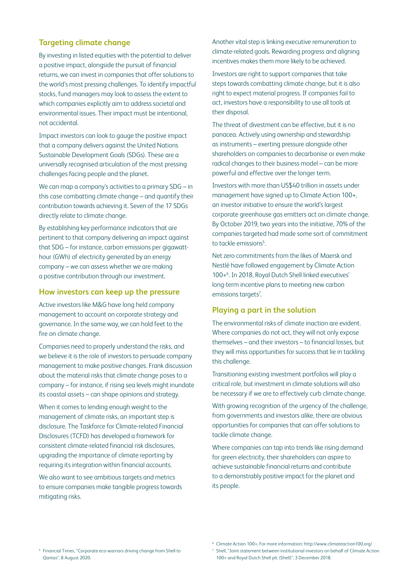# **Targeting climate change**

By investing in listed equities with the potential to deliver a positive impact, alongside the pursuit of financial returns, we can invest in companies that offer solutions to the world's most pressing challenges. To identify impactful stocks, fund managers may look to assess the extent to which companies explicitly aim to address societal and environmental issues. Their impact must be intentional, not accidental.

Impact investors can look to gauge the positive impact that a company delivers against the United Nations Sustainable Development Goals (SDGs). These are a universally recognised articulation of the most pressing challenges facing people and the planet.

We can map a company's activities to a primary SDG – in this case combatting climate change – and quantify their contribution towards achieving it. Seven of the 17 SDGs directly relate to climate change.

By establishing key performance indicators that are pertinent to that company delivering an impact against that SDG – for instance, carbon emissions per gigawatthour (GWh) of electricity generated by an energy company – we can assess whether we are making a positive contribution through our investment.

# **How investors can keep up the pressure**

Active investors like M&G have long held company management to account on corporate strategy and governance. In the same way, we can hold feet to the fire on climate change.

Companies need to properly understand the risks, and we believe it is the role of investors to persuade company management to make positive changes. Frank discussion about the material risks that climate change poses to a company – for instance, if rising sea levels might inundate its coastal assets – can shape opinions and strategy.

When it comes to lending enough weight to the management of climate risks, an important step is disclosure. The Taskforce for Climate-related Financial Disclosures (TCFD) has developed a framework for consistent climate-related financial risk disclosures, upgrading the importance of climate reporting by requiring its integration within financial accounts.

We also want to see ambitious targets and metrics to ensure companies make tangible progress towards mitigating risks.

Another vital step is linking executive remuneration to climate-related goals. Rewarding progress and aligning incentives makes them more likely to be achieved.

Investors are right to support companies that take steps towards combatting climate change, but it is also right to expect material progress. If companies fail to act, investors have a responsibility to use all tools at their disposal.

The threat of divestment can be effective, but it is no panacea. Actively using ownership and stewardship as instruments – exerting pressure alongside other shareholders on companies to decarbonise or even make radical changes to their business model – can be more powerful and effective over the longer term.

Investors with more than US\$40 trillion in assets under management have signed up to Climate Action 100+, an investor initiative to ensure the world's largest corporate greenhouse gas emitters act on climate change. By October 2019, two years into the initiative, 70% of the companies targeted had made some sort of commitment to tackle emissions<sup>5</sup>. .

Net zero commitments from the likes of Maersk and Nestlé have followed engagement by Climate Action 100+6 . In 2018, Royal Dutch Shell linked executives' long-term incentive plans to meeting new carbon emissions targets<sup>7</sup>. .

## **Playing a part in the solution**

The environmental risks of climate inaction are evident. Where companies do not act, they will not only expose themselves – and their investors – to financial losses, but they will miss opportunities for success that lie in tackling this challenge.

Transitioning existing investment portfolios will play a critical role, but investment in climate solutions will also be necessary if we are to effectively curb climate change.

With growing recognition of the urgency of the challenge, from governments and investors alike, there are obvious opportunities for companies that can offer solutions to tackle climate change.

Where companies can tap into trends like rising demand for green electricity, their shareholders can aspire to achieve sustainable financial returns and contribute to a demonstrably positive impact for the planet and its people.

<sup>5</sup> Financial Times, ["Corporate eco-warriors driving change from Shell to](https://www.ft.com/content/2db23ad7-da5c-4f1e-a100-a77a72226587)  [Qantas"](https://www.ft.com/content/2db23ad7-da5c-4f1e-a100-a77a72226587), 8 August 2020.

<sup>6</sup> Climate Action 100+. For more information: http://www.climateaction100.org/

<sup>7</sup> Shell, "[Joint statement between institutional investors on behalf of Climate Action](https://www.shell.com/media/news-and-media-releases/2018/joint-statement-between-institutional-investors-on-behalf-of-climate-action-and-shell.html)  [100+ and Royal Dutch Shell plc \(Shell\)](https://www.shell.com/media/news-and-media-releases/2018/joint-statement-between-institutional-investors-on-behalf-of-climate-action-and-shell.html)", 3 December 2018.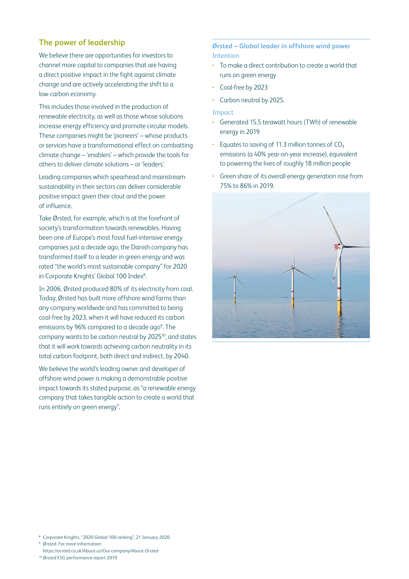# **The power of leadership**

We believe there are opportunities for investors to channel more capital to companies that are having a direct positive impact in the fight against climate change and are actively accelerating the shift to a low-carbon economy.

This includes those involved in the production of renewable electricity, as well as those whose solutions increase energy efficiency and promote circular models. These companies might be 'pioneers' – whose products or services have a transformational effect on combatting climate change – 'enablers' – which provide the tools for others to deliver climate solutions – or 'leaders'.

Leading companies which spearhead and mainstream sustainability in their sectors can deliver considerable positive impact given their clout and the power of influence.

Take Ørsted, for example, which is at the forefront of society's transformation towards renewables. Having been one of Europe's most fossil fuel-intensive energy companies just a decade ago, the Danish company has transformed itself to a leader in green energy and was rated "the world's most sustainable company" for 2020 in Corporate Knights' Global 100 Index<sup>8</sup>. .

In 2006, Ørsted produced 80% of its electricity from coal. Today, Ørsted has built more offshore wind farms than any company worldwide and has committed to being coal-free by 2023, when it will have reduced its carbon emissions by 96% compared to a decade ago<sup>9</sup>. The company wants to be carbon neutral by 202510, and states that it will work towards achieving carbon neutrality in its total carbon footprint, both direct and indirect, by 2040.

We believe the world's leading owner and developer of offshore wind power is making a demonstrable positive impact towards its stated purpose, as "a renewable energy company that takes tangible action to create a world that runs entirely on green energy".

**Ørsted – Global leader in offshore wind power Intention** 

- To make a direct contribution to create a world that runs on green energy
- Coal-free by 2023
- Carbon neutral by 2025.

### Impact

- Generated 15.5 terawatt hours (TWh) of renewable energy in 2019
- Equates to saving of 11.3 million tonnes of  $CO<sub>2</sub>$ emissions (a 40% year-on-year increase), equivalent to powering the lives of roughly 18 million people
- Green share of its overall energy generation rose from 75% to 86% in 2019.



9 Ørsted. For more information: https://orsted.co.uk/About-us/Our-company/About-Orsted

10 [Ørsted ESG performance report 2019](https://orsted.com/-/media/annual2019/ESG-performance-report-2019.pdf).

<sup>8</sup> Corporate Knights, "[2020 Global 100 ranking"](https://www.corporateknights.com/reports/2020-global-100/2020-global-100-ranking-15795648/), 21 January 2020.